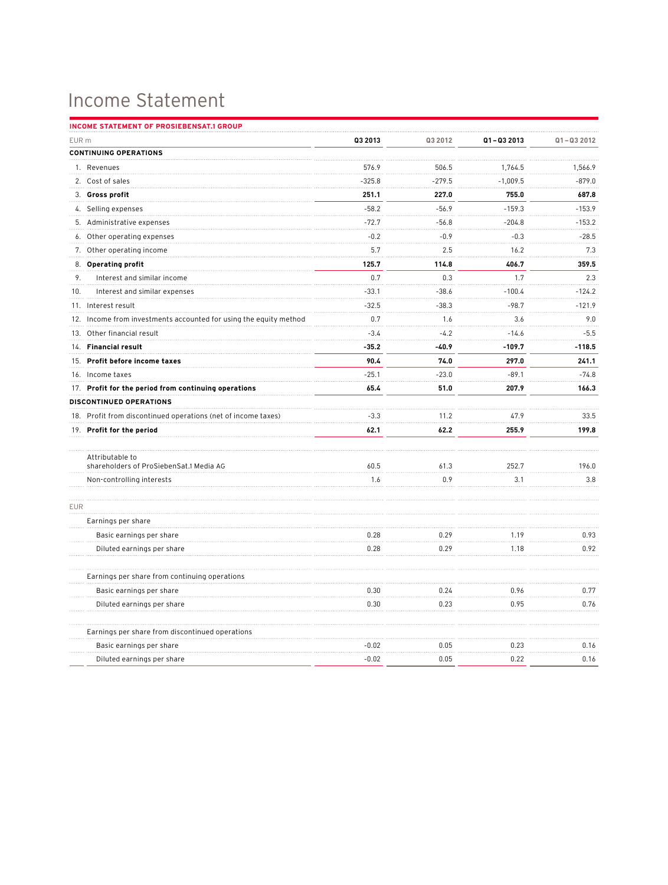## Income Statement

| <b>INCOME STATEMENT OF PROSIEBENSAT.1 GROUP</b>                   |          |          |            |               |
|-------------------------------------------------------------------|----------|----------|------------|---------------|
| EUR <sub>m</sub>                                                  | Q3 2013  | Q3 2012  | Q1-Q3 2013 | $Q1 - Q32012$ |
| <b>CONTINUING OPERATIONS</b>                                      |          |          |            |               |
| 1. Revenues                                                       | 576.9    | 506.5    | 1.764.5    | 1,566.9       |
| 2. Cost of sales                                                  | $-325.8$ | $-279.5$ | $-1,009.5$ | $-879.0$      |
| 3. Gross profit                                                   | 251.1    | 227.0    | 755.0      | 687.8         |
| 4. Selling expenses                                               | $-58.2$  | $-56.9$  | $-159.3$   | $-153.9$      |
| 5. Administrative expenses                                        | $-72.7$  | $-56.8$  | $-204.8$   | $-153.2$      |
| 6. Other operating expenses                                       | $-0.2$   | $-0.9$   | $-0.3$     | $-28.5$       |
| 7.<br>Other operating income                                      | 5.7      | 2.5      | 16.2       | 7.3           |
| 8. Operating profit                                               | 125.7    | 114.8    | 406.7      | 359.5         |
| 9.<br>Interest and similar income                                 | 0.7      | 0.3      | 1.7        | 2.3           |
| 10.<br>Interest and similar expenses                              | $-33.1$  | $-38.6$  | $-100.4$   | $-124.2$      |
| 11. Interest result                                               | $-32.5$  | $-38.3$  | $-98.7$    | $-121.9$      |
| 12. Income from investments accounted for using the equity method | 0.7      | 1.6      | 3.6        | 9.0           |
| 13. Other financial result                                        | $-3.4$   | $-4.2$   | $-14.6$    | $-5.5$        |
| 14. Financial result                                              | $-35.2$  | $-40.9$  | $-109.7$   | $-118.5$      |
| 15. Profit before income taxes                                    | 90.4     | 74.0     | 297.0      | 241.1         |
| 16. Income taxes                                                  | $-25.1$  | $-23.0$  | $-89.1$    | $-74.8$       |
| 17. Profit for the period from continuing operations              | 65.4     | 51.0     | 207.9      | 166.3         |
| DISCONTINUED OPERATIONS                                           |          |          |            |               |
| 18. Profit from discontinued operations (net of income taxes)     | $-3.3$   | 11.2     | 47.9       | 33.5          |
| 19. Profit for the period                                         | 62.1     | 62.2     | 255.9      | 199.8         |
|                                                                   |          |          |            |               |
| Attributable to<br>shareholders of ProSiebenSat.1 Media AG        | 60.5     | 61.3     | 252.7      | 196.0         |
| Non-controlling interests                                         | 1.6      | 0.9      | 3.1        | 3.8           |
|                                                                   |          |          |            |               |
| <b>EUR</b>                                                        |          |          |            |               |
| Earnings per share                                                |          |          |            |               |
| Basic earnings per share                                          | 0.28     | 0.29     | 1.19       | 0.93          |
| Diluted earnings per share                                        | 0.28     | 0.29     | 1.18       | 0.92          |
| Earnings per share from continuing operations                     |          |          |            |               |
| Basic earnings per share                                          | 0.30     | 0.24     | 0.96       | 0.77          |
| Diluted earnings per share                                        | 0.30     | 0.23     | 0.95       | 0.76          |
| Earnings per share from discontinued operations                   |          |          |            |               |
| Basic earnings per share                                          | $-0.02$  | 0.05     | 0.23       | 0.16          |
| Diluted earnings per share                                        | $-0.02$  | 0.05     | 0.22       | 0.16          |
|                                                                   |          |          |            |               |